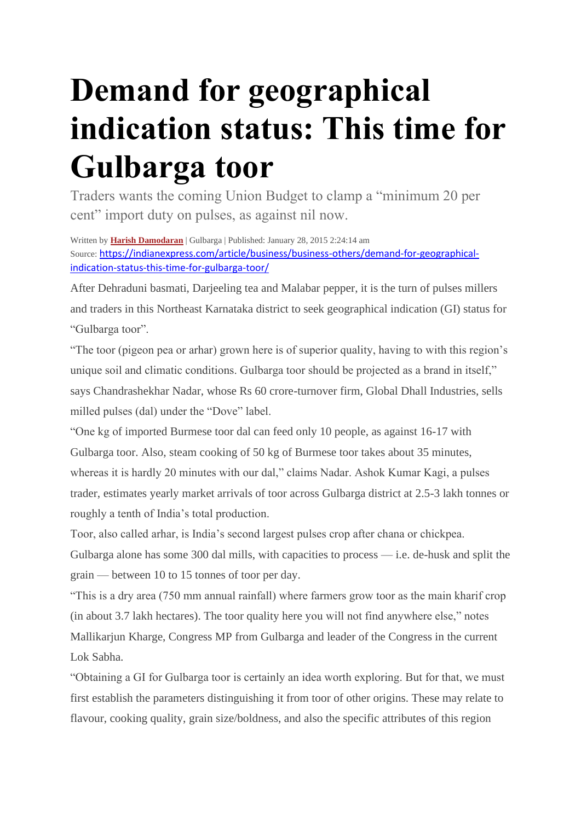## **Demand for geographical indication status: This time for Gulbarga toor**

Traders wants the coming Union Budget to clamp a "minimum 20 per cent" import duty on pulses, as against nil now.

Written by **[Harish Damodaran](https://indianexpress.com/profile/author/harish-damodaran/)** | Gulbarga | Published: January 28, 2015 2:24:14 am Source: [https://indianexpress.com/article/business/business-others/demand-for-geographical](https://indianexpress.com/article/business/business-others/demand-for-geographical-indication-status-this-time-for-gulbarga-toor/)[indication-status-this-time-for-gulbarga-toor/](https://indianexpress.com/article/business/business-others/demand-for-geographical-indication-status-this-time-for-gulbarga-toor/)

After Dehraduni basmati, Darjeeling tea and Malabar pepper, it is the turn of pulses millers and traders in this Northeast Karnataka district to seek geographical indication (GI) status for "Gulbarga toor".

"The toor (pigeon pea or arhar) grown here is of superior quality, having to with this region's unique soil and climatic conditions. Gulbarga toor should be projected as a brand in itself," says Chandrashekhar Nadar, whose Rs 60 crore-turnover firm, Global Dhall Industries, sells milled pulses (dal) under the "Dove" label.

"One kg of imported Burmese toor dal can feed only 10 people, as against 16-17 with Gulbarga toor. Also, steam cooking of 50 kg of Burmese toor takes about 35 minutes, whereas it is hardly 20 minutes with our dal," claims Nadar. Ashok Kumar Kagi, a pulses trader, estimates yearly market arrivals of toor across Gulbarga district at 2.5-3 lakh tonnes or roughly a tenth of India's total production.

Toor, also called arhar, is India's second largest pulses crop after chana or chickpea. Gulbarga alone has some 300 dal mills, with capacities to process — i.e. de-husk and split the grain — between 10 to 15 tonnes of toor per day.

"This is a dry area (750 mm annual rainfall) where farmers grow toor as the main kharif crop (in about 3.7 lakh hectares). The toor quality here you will not find anywhere else," notes Mallikarjun Kharge, Congress MP from Gulbarga and leader of the Congress in the current Lok Sabha.

"Obtaining a GI for Gulbarga toor is certainly an idea worth exploring. But for that, we must first establish the parameters distinguishing it from toor of other origins. These may relate to flavour, cooking quality, grain size/boldness, and also the specific attributes of this region